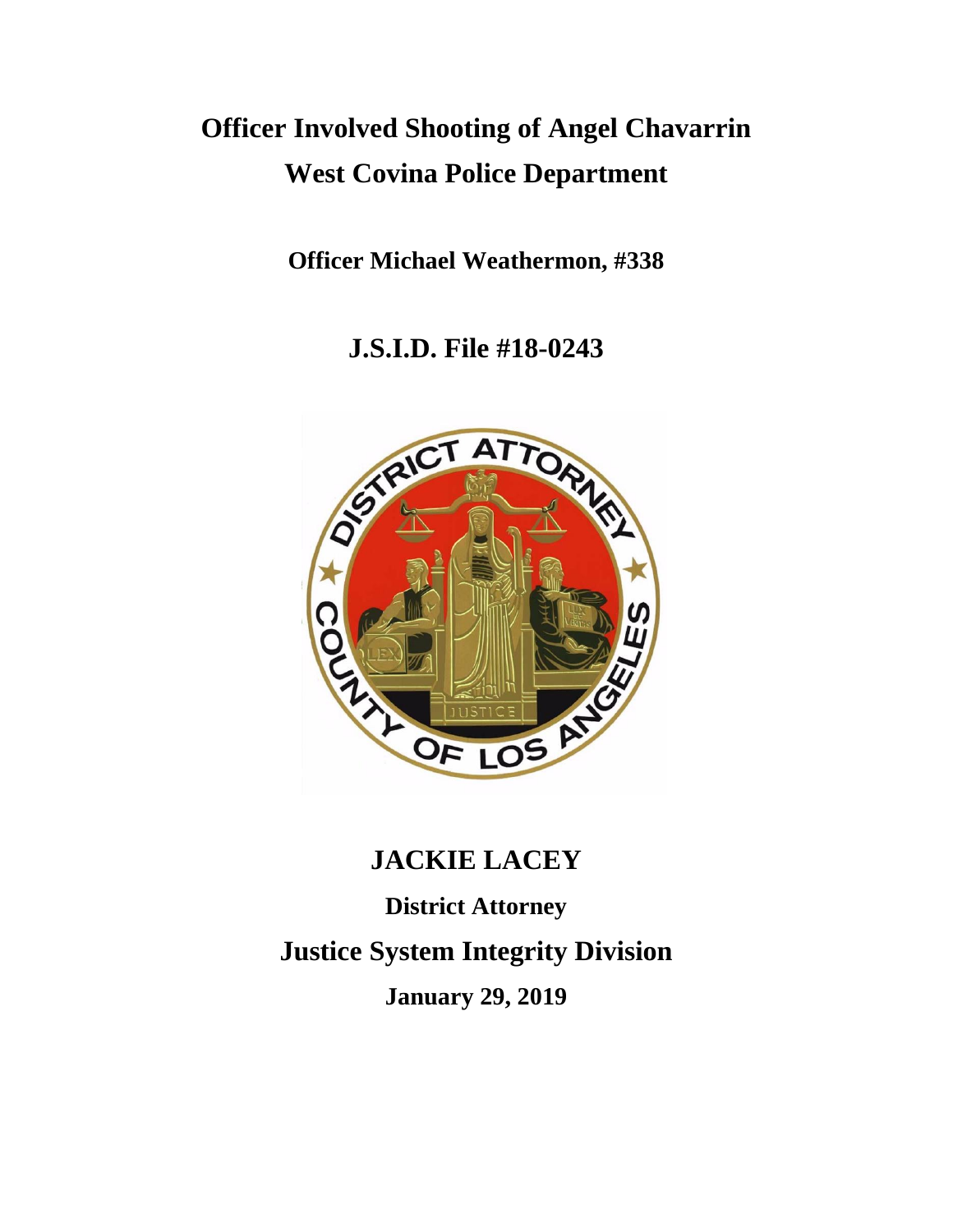# **Officer Involved Shooting of Angel Chavarrin West Covina Police Department**

**Officer Michael Weathermon, #338**

**J.S.I.D. File #18-0243**



# **JACKIE LACEY**

**District Attorney Justice System Integrity Division January 29, 2019**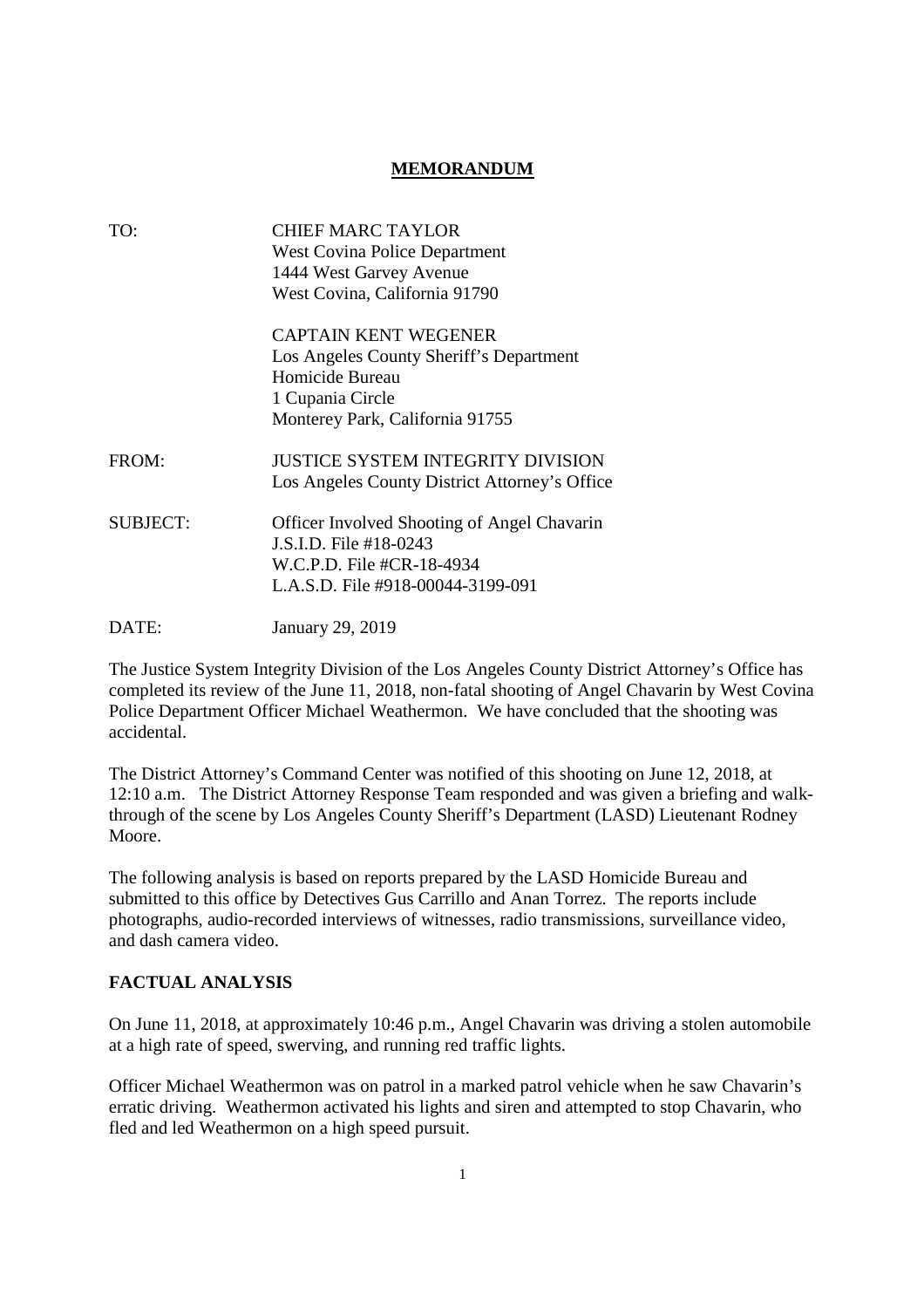### **MEMORANDUM**

| TO:             | CHIEF MARC TAYLOR<br><b>West Covina Police Department</b>                          |
|-----------------|------------------------------------------------------------------------------------|
|                 | 1444 West Garvey Avenue                                                            |
|                 | West Covina, California 91790                                                      |
|                 | <b>CAPTAIN KENT WEGENER</b>                                                        |
|                 | Los Angeles County Sheriff's Department                                            |
|                 | Homicide Bureau                                                                    |
|                 | 1 Cupania Circle                                                                   |
|                 | Monterey Park, California 91755                                                    |
| FROM:           | JUSTICE SYSTEM INTEGRITY DIVISION<br>Los Angeles County District Attorney's Office |
| <b>SUBJECT:</b> | <b>Officer Involved Shooting of Angel Chavarin</b>                                 |
|                 | J.S.I.D. File #18-0243                                                             |
|                 | W.C.P.D. File #CR-18-4934                                                          |
|                 | L.A.S.D. File #918-00044-3199-091                                                  |
| DATE:           | January 29, 2019                                                                   |

The Justice System Integrity Division of the Los Angeles County District Attorney's Office has completed its review of the June 11, 2018, non-fatal shooting of Angel Chavarin by West Covina Police Department Officer Michael Weathermon. We have concluded that the shooting was accidental.

The District Attorney's Command Center was notified of this shooting on June 12, 2018, at 12:10 a.m. The District Attorney Response Team responded and was given a briefing and walkthrough of the scene by Los Angeles County Sheriff's Department (LASD) Lieutenant Rodney Moore.

The following analysis is based on reports prepared by the LASD Homicide Bureau and submitted to this office by Detectives Gus Carrillo and Anan Torrez. The reports include photographs, audio-recorded interviews of witnesses, radio transmissions, surveillance video, and dash camera video.

# **FACTUAL ANALYSIS**

On June 11, 2018, at approximately 10:46 p.m., Angel Chavarin was driving a stolen automobile at a high rate of speed, swerving, and running red traffic lights.

Officer Michael Weathermon was on patrol in a marked patrol vehicle when he saw Chavarin's erratic driving. Weathermon activated his lights and siren and attempted to stop Chavarin, who fled and led Weathermon on a high speed pursuit.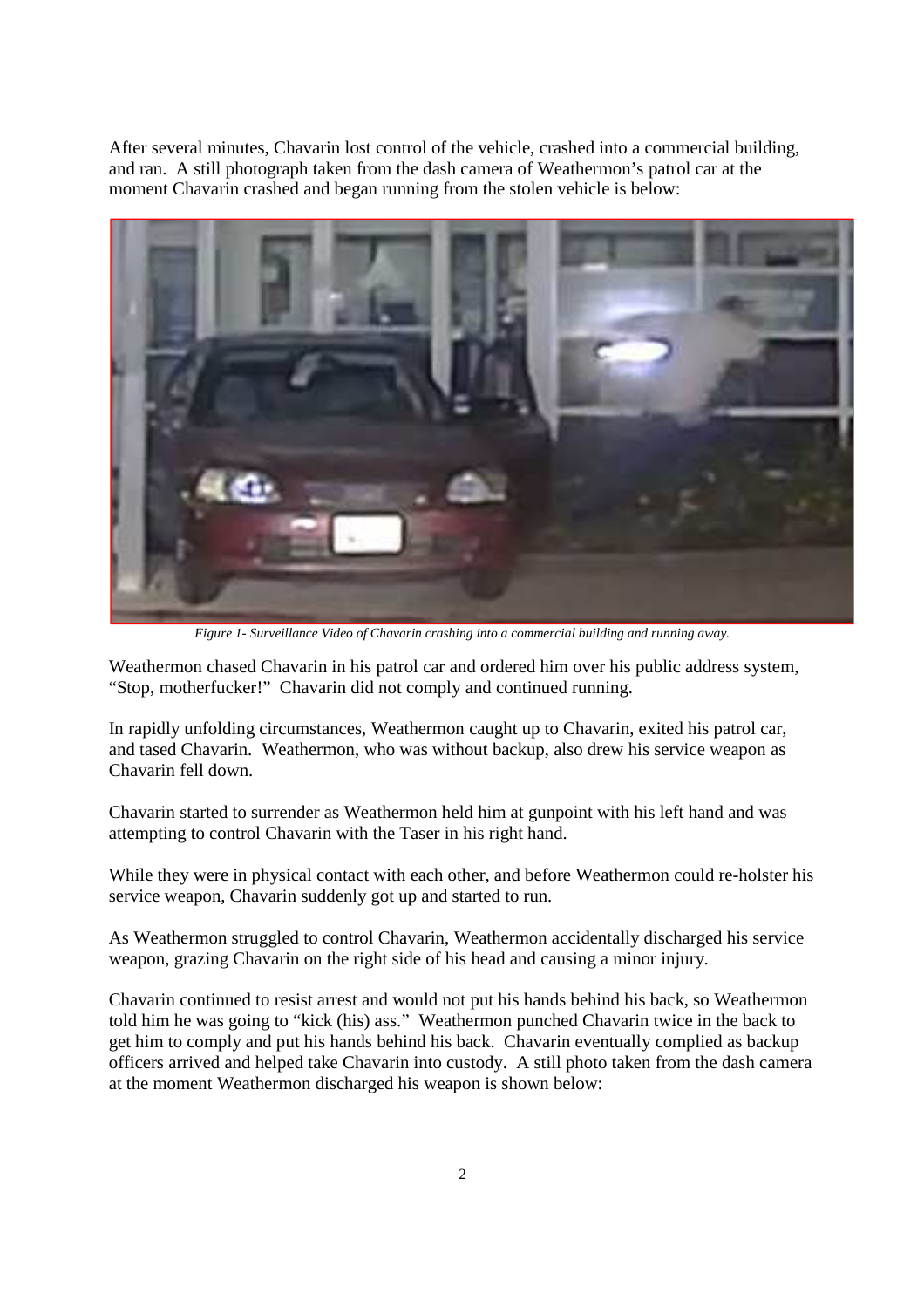After several minutes, Chavarin lost control of the vehicle, crashed into a commercial building, and ran. A still photograph taken from the dash camera of Weathermon's patrol car at the moment Chavarin crashed and began running from the stolen vehicle is below:



*Figure 1- Surveillance Video of Chavarin crashing into a commercial building and running away.*

Weathermon chased Chavarin in his patrol car and ordered him over his public address system, "Stop, motherfucker!" Chavarin did not comply and continued running.

In rapidly unfolding circumstances, Weathermon caught up to Chavarin, exited his patrol car, and tased Chavarin. Weathermon, who was without backup, also drew his service weapon as Chavarin fell down.

Chavarin started to surrender as Weathermon held him at gunpoint with his left hand and was attempting to control Chavarin with the Taser in his right hand.

While they were in physical contact with each other, and before Weathermon could re-holster his service weapon, Chavarin suddenly got up and started to run.

As Weathermon struggled to control Chavarin, Weathermon accidentally discharged his service weapon, grazing Chavarin on the right side of his head and causing a minor injury.

Chavarin continued to resist arrest and would not put his hands behind his back, so Weathermon told him he was going to "kick (his) ass." Weathermon punched Chavarin twice in the back to get him to comply and put his hands behind his back. Chavarin eventually complied as backup officers arrived and helped take Chavarin into custody. A still photo taken from the dash camera at the moment Weathermon discharged his weapon is shown below: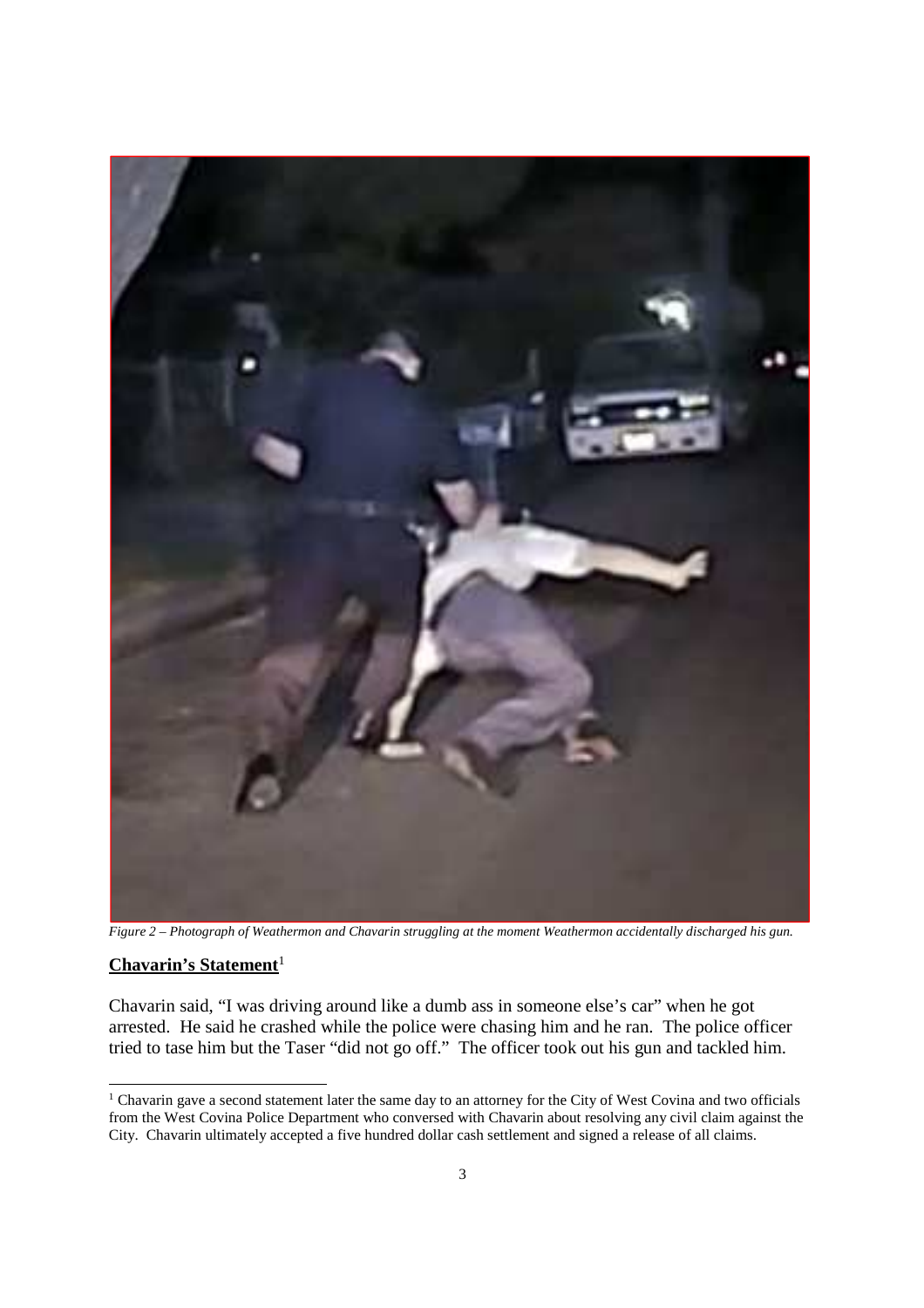

*Figure 2 – Photograph of Weathermon and Chavarin struggling at the moment Weathermon accidentally discharged his gun.*

# Chavarin's Statement<sup>1</sup>

Chavarin said, "I was driving around like a dumb ass in someone else's car" when he got arrested. He said he crashed while the police were chasing him and he ran. The police officer tried to tase him but the Taser "did not go off." The officer took out his gun and tackled him.

<sup>&</sup>lt;sup>1</sup> Chavarin gave a second statement later the same day to an attorney for the City of West Covina and two officials from the West Covina Police Department who conversed with Chavarin about resolving any civil claim against the City. Chavarin ultimately accepted a five hundred dollar cash settlement and signed a release of all claims.